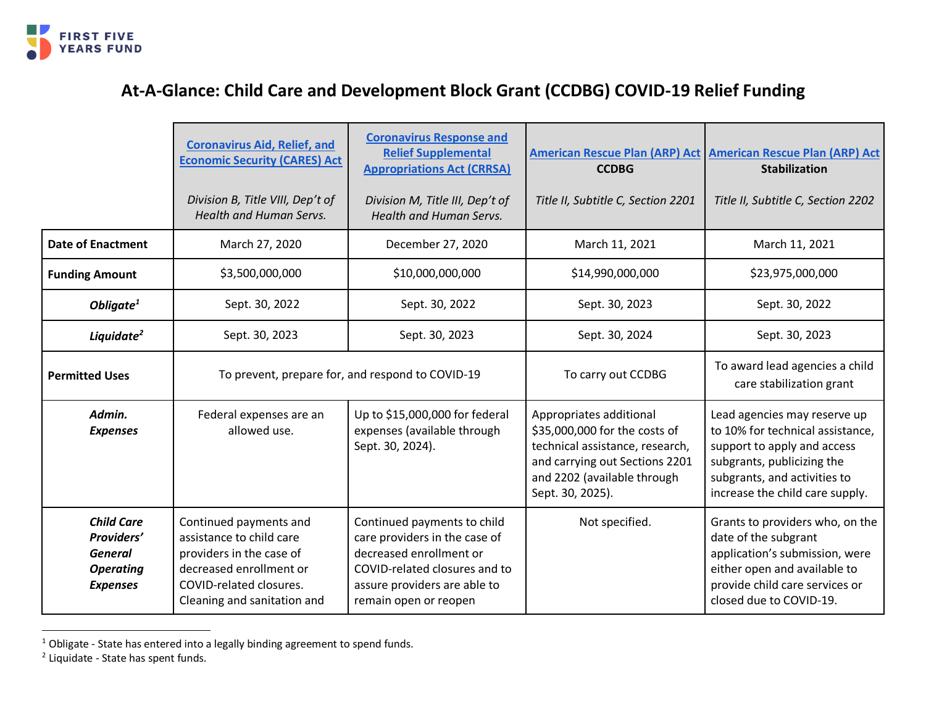

## **At-A-Glance: Child Care and Development Block Grant (CCDBG) COVID-19 Relief Funding**

|                                                                                          | <b>Coronavirus Aid, Relief, and</b><br><b>Economic Security (CARES) Act</b><br>Division B, Title VIII, Dep't of                                                     | <b>Coronavirus Response and</b><br><b>Relief Supplemental</b><br><b>Appropriations Act (CRRSA)</b><br>Division M, Title III, Dep't of                                             | <b>CCDBG</b><br>Title II, Subtitle C, Section 2201                                                                                                                               | American Rescue Plan (ARP) Act   American Rescue Plan (ARP) Act<br><b>Stabilization</b><br>Title II, Subtitle C, Section 2202                                                                    |
|------------------------------------------------------------------------------------------|---------------------------------------------------------------------------------------------------------------------------------------------------------------------|-----------------------------------------------------------------------------------------------------------------------------------------------------------------------------------|----------------------------------------------------------------------------------------------------------------------------------------------------------------------------------|--------------------------------------------------------------------------------------------------------------------------------------------------------------------------------------------------|
|                                                                                          | Health and Human Servs.                                                                                                                                             | <b>Health and Human Servs.</b>                                                                                                                                                    |                                                                                                                                                                                  |                                                                                                                                                                                                  |
| <b>Date of Enactment</b>                                                                 | March 27, 2020                                                                                                                                                      | December 27, 2020                                                                                                                                                                 | March 11, 2021                                                                                                                                                                   | March 11, 2021                                                                                                                                                                                   |
| <b>Funding Amount</b>                                                                    | \$3,500,000,000                                                                                                                                                     | \$10,000,000,000                                                                                                                                                                  | \$14,990,000,000                                                                                                                                                                 | \$23,975,000,000                                                                                                                                                                                 |
| Obligate $1$                                                                             | Sept. 30, 2022                                                                                                                                                      | Sept. 30, 2022                                                                                                                                                                    | Sept. 30, 2023                                                                                                                                                                   | Sept. 30, 2022                                                                                                                                                                                   |
| Liquidate <sup>2</sup>                                                                   | Sept. 30, 2023                                                                                                                                                      | Sept. 30, 2023                                                                                                                                                                    | Sept. 30, 2024                                                                                                                                                                   | Sept. 30, 2023                                                                                                                                                                                   |
| <b>Permitted Uses</b>                                                                    | To prevent, prepare for, and respond to COVID-19                                                                                                                    |                                                                                                                                                                                   | To carry out CCDBG                                                                                                                                                               | To award lead agencies a child<br>care stabilization grant                                                                                                                                       |
| Admin.<br><b>Expenses</b>                                                                | Federal expenses are an<br>allowed use.                                                                                                                             | Up to \$15,000,000 for federal<br>expenses (available through<br>Sept. 30, 2024).                                                                                                 | Appropriates additional<br>\$35,000,000 for the costs of<br>technical assistance, research,<br>and carrying out Sections 2201<br>and 2202 (available through<br>Sept. 30, 2025). | Lead agencies may reserve up<br>to 10% for technical assistance,<br>support to apply and access<br>subgrants, publicizing the<br>subgrants, and activities to<br>increase the child care supply. |
| <b>Child Care</b><br>Providers'<br><b>General</b><br><b>Operating</b><br><b>Expenses</b> | Continued payments and<br>assistance to child care<br>providers in the case of<br>decreased enrollment or<br>COVID-related closures.<br>Cleaning and sanitation and | Continued payments to child<br>care providers in the case of<br>decreased enrollment or<br>COVID-related closures and to<br>assure providers are able to<br>remain open or reopen | Not specified.                                                                                                                                                                   | Grants to providers who, on the<br>date of the subgrant<br>application's submission, were<br>either open and available to<br>provide child care services or<br>closed due to COVID-19.           |

<sup>&</sup>lt;sup>1</sup> Obligate - State has entered into a legally binding agreement to spend funds.<br><sup>2</sup> Liquidate - State has spent funds.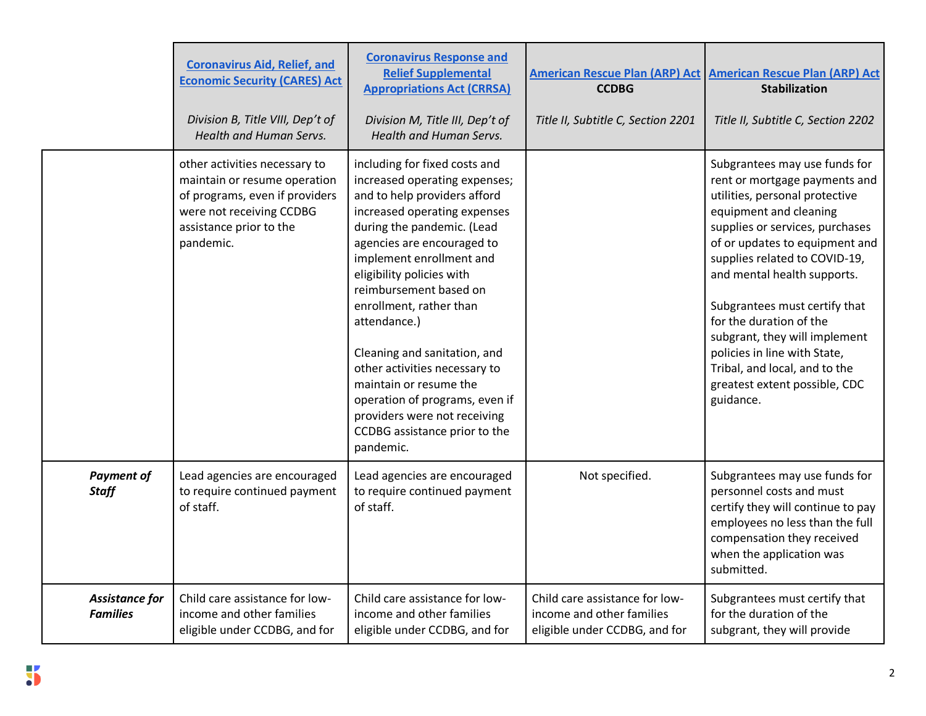|                                   | <b>Coronavirus Aid, Relief, and</b><br><b>Economic Security (CARES) Act</b><br>Division B, Title VIII, Dep't of<br>Health and Human Servs.                          | <b>Coronavirus Response and</b><br><b>Relief Supplemental</b><br><b>Appropriations Act (CRRSA)</b><br>Division M, Title III, Dep't of<br>Health and Human Servs.                                                                                                                                                                                                                                                                                                                                                                    | <b>CCDBG</b><br>Title II, Subtitle C, Section 2201                                           | American Rescue Plan (ARP) Act American Rescue Plan (ARP) Act<br><b>Stabilization</b><br>Title II, Subtitle C, Section 2202                                                                                                                                                                                                                                                                                                                                                 |
|-----------------------------------|---------------------------------------------------------------------------------------------------------------------------------------------------------------------|-------------------------------------------------------------------------------------------------------------------------------------------------------------------------------------------------------------------------------------------------------------------------------------------------------------------------------------------------------------------------------------------------------------------------------------------------------------------------------------------------------------------------------------|----------------------------------------------------------------------------------------------|-----------------------------------------------------------------------------------------------------------------------------------------------------------------------------------------------------------------------------------------------------------------------------------------------------------------------------------------------------------------------------------------------------------------------------------------------------------------------------|
|                                   | other activities necessary to<br>maintain or resume operation<br>of programs, even if providers<br>were not receiving CCDBG<br>assistance prior to the<br>pandemic. | including for fixed costs and<br>increased operating expenses;<br>and to help providers afford<br>increased operating expenses<br>during the pandemic. (Lead<br>agencies are encouraged to<br>implement enrollment and<br>eligibility policies with<br>reimbursement based on<br>enrollment, rather than<br>attendance.)<br>Cleaning and sanitation, and<br>other activities necessary to<br>maintain or resume the<br>operation of programs, even if<br>providers were not receiving<br>CCDBG assistance prior to the<br>pandemic. |                                                                                              | Subgrantees may use funds for<br>rent or mortgage payments and<br>utilities, personal protective<br>equipment and cleaning<br>supplies or services, purchases<br>of or updates to equipment and<br>supplies related to COVID-19,<br>and mental health supports.<br>Subgrantees must certify that<br>for the duration of the<br>subgrant, they will implement<br>policies in line with State,<br>Tribal, and local, and to the<br>greatest extent possible, CDC<br>guidance. |
| <b>Payment of</b><br><b>Staff</b> | Lead agencies are encouraged<br>to require continued payment<br>of staff.                                                                                           | Lead agencies are encouraged<br>to require continued payment<br>of staff.                                                                                                                                                                                                                                                                                                                                                                                                                                                           | Not specified.                                                                               | Subgrantees may use funds for<br>personnel costs and must<br>certify they will continue to pay<br>employees no less than the full<br>compensation they received<br>when the application was<br>submitted.                                                                                                                                                                                                                                                                   |
| Assistance for<br><b>Families</b> | Child care assistance for low-<br>income and other families<br>eligible under CCDBG, and for                                                                        | Child care assistance for low-<br>income and other families<br>eligible under CCDBG, and for                                                                                                                                                                                                                                                                                                                                                                                                                                        | Child care assistance for low-<br>income and other families<br>eligible under CCDBG, and for | Subgrantees must certify that<br>for the duration of the<br>subgrant, they will provide                                                                                                                                                                                                                                                                                                                                                                                     |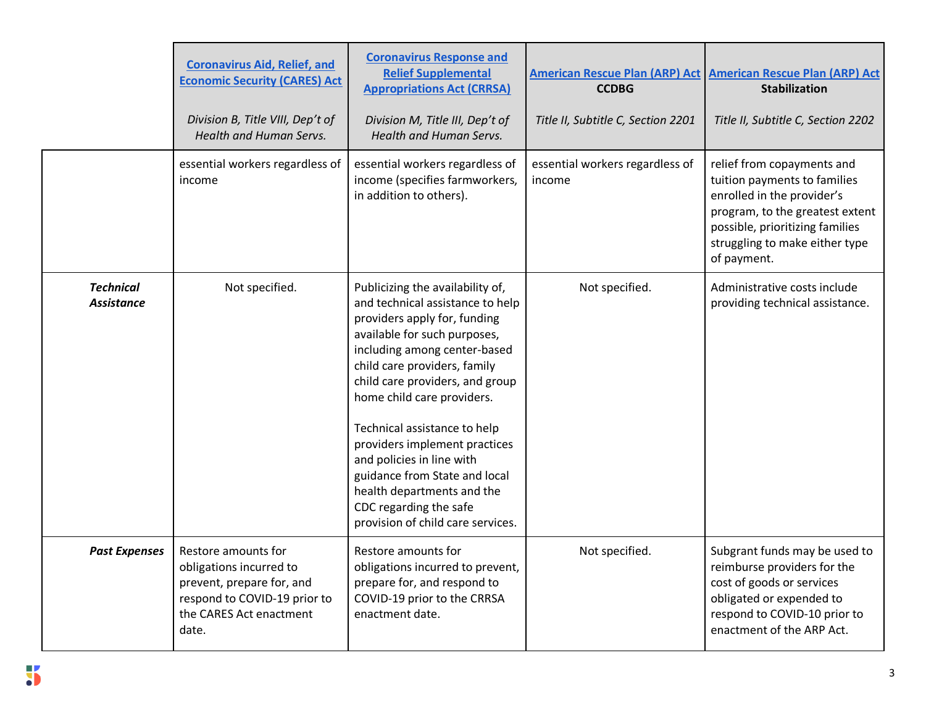|                                       | <b>Coronavirus Aid, Relief, and</b><br><b>Economic Security (CARES) Act</b><br>Division B, Title VIII, Dep't of<br>Health and Human Servs.      | <b>Coronavirus Response and</b><br><b>Relief Supplemental</b><br><b>Appropriations Act (CRRSA)</b><br>Division M, Title III, Dep't of<br>Health and Human Servs.                                                                                                                                                                                                                                                                                                                                  | <b>CCDBG</b><br>Title II, Subtitle C, Section 2201 | American Rescue Plan (ARP) Act American Rescue Plan (ARP) Act<br><b>Stabilization</b><br>Title II, Subtitle C, Section 2202                                                                                     |
|---------------------------------------|-------------------------------------------------------------------------------------------------------------------------------------------------|---------------------------------------------------------------------------------------------------------------------------------------------------------------------------------------------------------------------------------------------------------------------------------------------------------------------------------------------------------------------------------------------------------------------------------------------------------------------------------------------------|----------------------------------------------------|-----------------------------------------------------------------------------------------------------------------------------------------------------------------------------------------------------------------|
|                                       | essential workers regardless of<br>income                                                                                                       | essential workers regardless of<br>income (specifies farmworkers,<br>in addition to others).                                                                                                                                                                                                                                                                                                                                                                                                      | essential workers regardless of<br>income          | relief from copayments and<br>tuition payments to families<br>enrolled in the provider's<br>program, to the greatest extent<br>possible, prioritizing families<br>struggling to make either type<br>of payment. |
| <b>Technical</b><br><b>Assistance</b> | Not specified.                                                                                                                                  | Publicizing the availability of,<br>and technical assistance to help<br>providers apply for, funding<br>available for such purposes,<br>including among center-based<br>child care providers, family<br>child care providers, and group<br>home child care providers.<br>Technical assistance to help<br>providers implement practices<br>and policies in line with<br>guidance from State and local<br>health departments and the<br>CDC regarding the safe<br>provision of child care services. | Not specified.                                     | Administrative costs include<br>providing technical assistance.                                                                                                                                                 |
| <b>Past Expenses</b>                  | Restore amounts for<br>obligations incurred to<br>prevent, prepare for, and<br>respond to COVID-19 prior to<br>the CARES Act enactment<br>date. | Restore amounts for<br>obligations incurred to prevent,<br>prepare for, and respond to<br>COVID-19 prior to the CRRSA<br>enactment date.                                                                                                                                                                                                                                                                                                                                                          | Not specified.                                     | Subgrant funds may be used to<br>reimburse providers for the<br>cost of goods or services<br>obligated or expended to<br>respond to COVID-10 prior to<br>enactment of the ARP Act.                              |